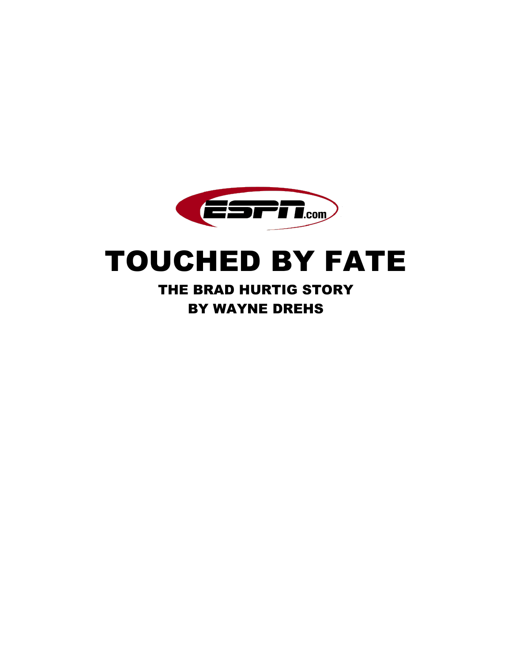

# TOUCHED BY FATE

THE BRAD HURTIG STORY BY WAYNE DREHS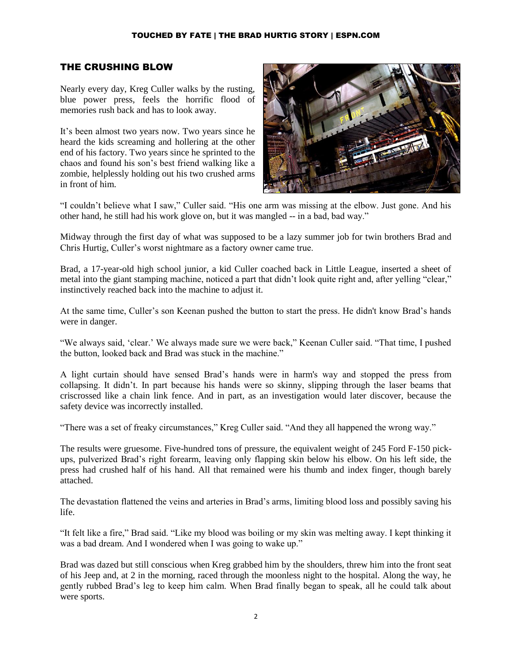## THE CRUSHING BLOW

Nearly every day, Kreg Culler walks by the rusting, blue power press, feels the horrific flood of memories rush back and has to look away.

It's been almost two years now. Two years since he heard the kids screaming and hollering at the other end of his factory. Two years since he sprinted to the chaos and found his son's best friend walking like a zombie, helplessly holding out his two crushed arms in front of him.



"I couldn't believe what I saw," Culler said. "His one arm was missing at the elbow. Just gone. And his other hand, he still had his work glove on, but it was mangled -- in a bad, bad way."

Midway through the first day of what was supposed to be a lazy summer job for twin brothers Brad and Chris Hurtig, Culler's worst nightmare as a factory owner came true.

Brad, a 17-year-old high school junior, a kid Culler coached back in Little League, inserted a sheet of metal into the giant stamping machine, noticed a part that didn't look quite right and, after yelling "clear," instinctively reached back into the machine to adjust it.

At the same time, Culler's son Keenan pushed the button to start the press. He didn't know Brad's hands were in danger.

"We always said, 'clear.' We always made sure we were back," Keenan Culler said. "That time, I pushed the button, looked back and Brad was stuck in the machine."

A light curtain should have sensed Brad's hands were in harm's way and stopped the press from collapsing. It didn't. In part because his hands were so skinny, slipping through the laser beams that criscrossed like a chain link fence. And in part, as an investigation would later discover, because the safety device was incorrectly installed.

"There was a set of freaky circumstances," Kreg Culler said. "And they all happened the wrong way."

The results were gruesome. Five-hundred tons of pressure, the equivalent weight of 245 Ford F-150 pickups, pulverized Brad's right forearm, leaving only flapping skin below his elbow. On his left side, the press had crushed half of his hand. All that remained were his thumb and index finger, though barely attached.

The devastation flattened the veins and arteries in Brad's arms, limiting blood loss and possibly saving his life.

"It felt like a fire," Brad said. "Like my blood was boiling or my skin was melting away. I kept thinking it was a bad dream. And I wondered when I was going to wake up."

Brad was dazed but still conscious when Kreg grabbed him by the shoulders, threw him into the front seat of his Jeep and, at 2 in the morning, raced through the moonless night to the hospital. Along the way, he gently rubbed Brad's leg to keep him calm. When Brad finally began to speak, all he could talk about were sports.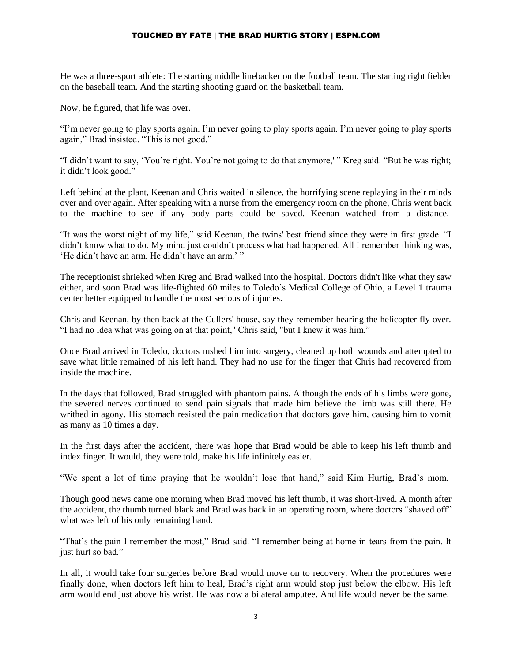He was a three-sport athlete: The starting middle linebacker on the football team. The starting right fielder on the baseball team. And the starting shooting guard on the basketball team.

Now, he figured, that life was over.

"I'm never going to play sports again. I'm never going to play sports again. I'm never going to play sports again," Brad insisted. "This is not good."

"I didn't want to say, 'You're right. You're not going to do that anymore,' " Kreg said. "But he was right; it didn't look good."

Left behind at the plant, Keenan and Chris waited in silence, the horrifying scene replaying in their minds over and over again. After speaking with a nurse from the emergency room on the phone, Chris went back to the machine to see if any body parts could be saved. Keenan watched from a distance.

"It was the worst night of my life," said Keenan, the twins' best friend since they were in first grade. "I didn't know what to do. My mind just couldn't process what had happened. All I remember thinking was, 'He didn't have an arm. He didn't have an arm.' "

The receptionist shrieked when Kreg and Brad walked into the hospital. Doctors didn't like what they saw either, and soon Brad was life-flighted 60 miles to Toledo's Medical College of Ohio, a Level 1 trauma center better equipped to handle the most serious of injuries.

Chris and Keenan, by then back at the Cullers' house, say they remember hearing the helicopter fly over. "I had no idea what was going on at that point," Chris said, "but I knew it was him."

Once Brad arrived in Toledo, doctors rushed him into surgery, cleaned up both wounds and attempted to save what little remained of his left hand. They had no use for the finger that Chris had recovered from inside the machine.

In the days that followed, Brad struggled with phantom pains. Although the ends of his limbs were gone, the severed nerves continued to send pain signals that made him believe the limb was still there. He writhed in agony. His stomach resisted the pain medication that doctors gave him, causing him to vomit as many as 10 times a day.

In the first days after the accident, there was hope that Brad would be able to keep his left thumb and index finger. It would, they were told, make his life infinitely easier.

"We spent a lot of time praying that he wouldn't lose that hand," said Kim Hurtig, Brad's mom.

Though good news came one morning when Brad moved his left thumb, it was short-lived. A month after the accident, the thumb turned black and Brad was back in an operating room, where doctors "shaved off" what was left of his only remaining hand.

"That's the pain I remember the most," Brad said. "I remember being at home in tears from the pain. It just hurt so bad."

In all, it would take four surgeries before Brad would move on to recovery. When the procedures were finally done, when doctors left him to heal, Brad's right arm would stop just below the elbow. His left arm would end just above his wrist. He was now a bilateral amputee. And life would never be the same.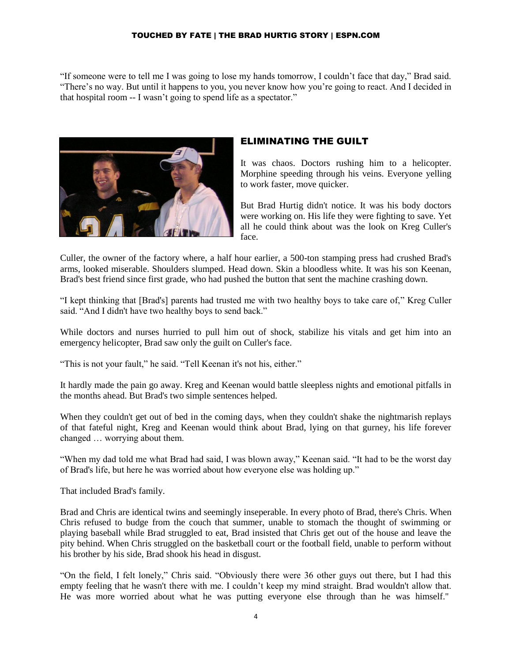"If someone were to tell me I was going to lose my hands tomorrow, I couldn't face that day," Brad said. "There's no way. But until it happens to you, you never know how you're going to react. And I decided in that hospital room -- I wasn't going to spend life as a spectator."



## ELIMINATING THE GUILT

It was chaos. Doctors rushing him to a helicopter. Morphine speeding through his veins. Everyone yelling to work faster, move quicker.

But Brad Hurtig didn't notice. It was his body doctors were working on. His life they were fighting to save. Yet all he could think about was the look on Kreg Culler's face.

Culler, the owner of the factory where, a half hour earlier, a 500-ton stamping press had crushed Brad's arms, looked miserable. Shoulders slumped. Head down. Skin a bloodless white. It was his son Keenan, Brad's best friend since first grade, who had pushed the button that sent the machine crashing down.

"I kept thinking that [Brad's] parents had trusted me with two healthy boys to take care of," Kreg Culler said. "And I didn't have two healthy boys to send back."

While doctors and nurses hurried to pull him out of shock, stabilize his vitals and get him into an emergency helicopter, Brad saw only the guilt on Culler's face.

"This is not your fault," he said. "Tell Keenan it's not his, either."

It hardly made the pain go away. Kreg and Keenan would battle sleepless nights and emotional pitfalls in the months ahead. But Brad's two simple sentences helped.

When they couldn't get out of bed in the coming days, when they couldn't shake the nightmarish replays of that fateful night, Kreg and Keenan would think about Brad, lying on that gurney, his life forever changed … worrying about them.

"When my dad told me what Brad had said, I was blown away," Keenan said. "It had to be the worst day of Brad's life, but here he was worried about how everyone else was holding up."

That included Brad's family.

Brad and Chris are identical twins and seemingly inseperable. In every photo of Brad, there's Chris. When Chris refused to budge from the couch that summer, unable to stomach the thought of swimming or playing baseball while Brad struggled to eat, Brad insisted that Chris get out of the house and leave the pity behind. When Chris struggled on the basketball court or the football field, unable to perform without his brother by his side, Brad shook his head in disgust.

"On the field, I felt lonely," Chris said. "Obviously there were 36 other guys out there, but I had this empty feeling that he wasn't there with me. I couldn't keep my mind straight. Brad wouldn't allow that. He was more worried about what he was putting everyone else through than he was himself."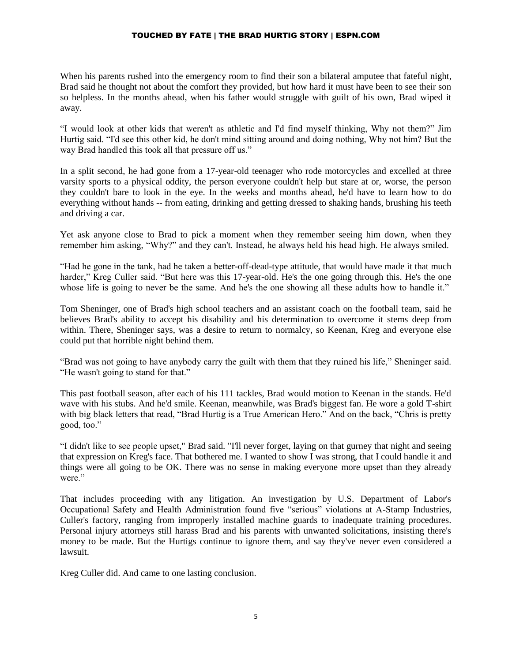When his parents rushed into the emergency room to find their son a bilateral amputee that fateful night, Brad said he thought not about the comfort they provided, but how hard it must have been to see their son so helpless. In the months ahead, when his father would struggle with guilt of his own, Brad wiped it away.

"I would look at other kids that weren't as athletic and I'd find myself thinking, Why not them?" Jim Hurtig said. "I'd see this other kid, he don't mind sitting around and doing nothing, Why not him? But the way Brad handled this took all that pressure off us."

In a split second, he had gone from a 17-year-old teenager who rode motorcycles and excelled at three varsity sports to a physical oddity, the person everyone couldn't help but stare at or, worse, the person they couldn't bare to look in the eye. In the weeks and months ahead, he'd have to learn how to do everything without hands -- from eating, drinking and getting dressed to shaking hands, brushing his teeth and driving a car.

Yet ask anyone close to Brad to pick a moment when they remember seeing him down, when they remember him asking, "Why?" and they can't. Instead, he always held his head high. He always smiled.

"Had he gone in the tank, had he taken a better-off-dead-type attitude, that would have made it that much harder," Kreg Culler said. "But here was this 17-year-old. He's the one going through this. He's the one whose life is going to never be the same. And he's the one showing all these adults how to handle it."

Tom Sheninger, one of Brad's high school teachers and an assistant coach on the football team, said he believes Brad's ability to accept his disability and his determination to overcome it stems deep from within. There, Sheninger says, was a desire to return to normalcy, so Keenan, Kreg and everyone else could put that horrible night behind them.

"Brad was not going to have anybody carry the guilt with them that they ruined his life," Sheninger said. "He wasn't going to stand for that."

This past football season, after each of his 111 tackles, Brad would motion to Keenan in the stands. He'd wave with his stubs. And he'd smile. Keenan, meanwhile, was Brad's biggest fan. He wore a gold T-shirt with big black letters that read, "Brad Hurtig is a True American Hero." And on the back, "Chris is pretty good, too."

"I didn't like to see people upset," Brad said. "I'll never forget, laying on that gurney that night and seeing that expression on Kreg's face. That bothered me. I wanted to show I was strong, that I could handle it and things were all going to be OK. There was no sense in making everyone more upset than they already were."

That includes proceeding with any litigation. An investigation by U.S. Department of Labor's Occupational Safety and Health Administration found five "serious" violations at A-Stamp Industries, Culler's factory, ranging from improperly installed machine guards to inadequate training procedures. Personal injury attorneys still harass Brad and his parents with unwanted solicitations, insisting there's money to be made. But the Hurtigs continue to ignore them, and say they've never even considered a lawsuit.

Kreg Culler did. And came to one lasting conclusion.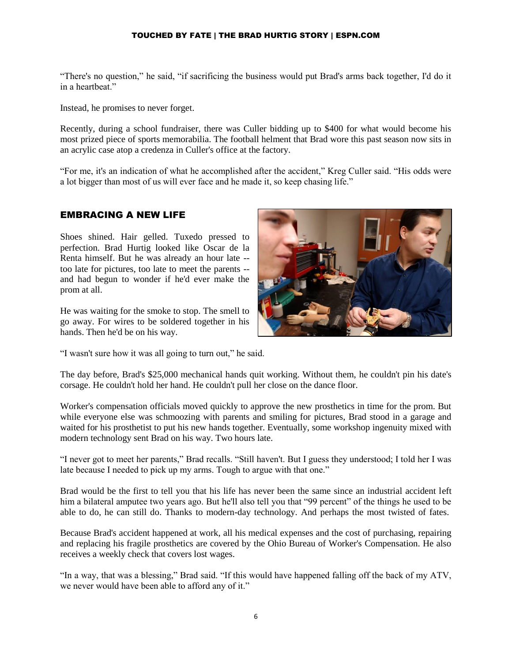"There's no question," he said, "if sacrificing the business would put Brad's arms back together, I'd do it in a heartheat."

Instead, he promises to never forget.

Recently, during a school fundraiser, there was Culler bidding up to \$400 for what would become his most prized piece of sports memorabilia. The football helment that Brad wore this past season now sits in an acrylic case atop a credenza in Culler's office at the factory.

"For me, it's an indication of what he accomplished after the accident," Kreg Culler said. "His odds were a lot bigger than most of us will ever face and he made it, so keep chasing life."

#### EMBRACING A NEW LIFE

Shoes shined. Hair gelled. Tuxedo pressed to perfection. Brad Hurtig looked like Oscar de la Renta himself. But he was already an hour late - too late for pictures, too late to meet the parents - and had begun to wonder if he'd ever make the prom at all.

He was waiting for the smoke to stop. The smell to go away. For wires to be soldered together in his hands. Then he'd be on his way.



"I wasn't sure how it was all going to turn out," he said.

The day before, Brad's \$25,000 mechanical hands quit working. Without them, he couldn't pin his date's corsage. He couldn't hold her hand. He couldn't pull her close on the dance floor.

Worker's compensation officials moved quickly to approve the new prosthetics in time for the prom. But while everyone else was schmoozing with parents and smiling for pictures, Brad stood in a garage and waited for his prosthetist to put his new hands together. Eventually, some workshop ingenuity mixed with modern technology sent Brad on his way. Two hours late.

"I never got to meet her parents," Brad recalls. "Still haven't. But I guess they understood; I told her I was late because I needed to pick up my arms. Tough to argue with that one."

Brad would be the first to tell you that his life has never been the same since an industrial accident left him a bilateral amputee two years ago. But he'll also tell you that "99 percent" of the things he used to be able to do, he can still do. Thanks to modern-day technology. And perhaps the most twisted of fates.

Because Brad's accident happened at work, all his medical expenses and the cost of purchasing, repairing and replacing his fragile prosthetics are covered by the Ohio Bureau of Worker's Compensation. He also receives a weekly check that covers lost wages.

"In a way, that was a blessing," Brad said. "If this would have happened falling off the back of my ATV, we never would have been able to afford any of it."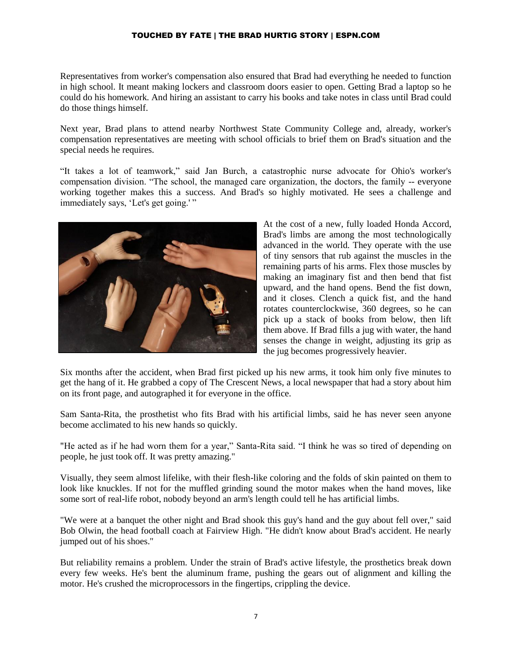Representatives from worker's compensation also ensured that Brad had everything he needed to function in high school. It meant making lockers and classroom doors easier to open. Getting Brad a laptop so he could do his homework. And hiring an assistant to carry his books and take notes in class until Brad could do those things himself.

Next year, Brad plans to attend nearby Northwest State Community College and, already, worker's compensation representatives are meeting with school officials to brief them on Brad's situation and the special needs he requires.

"It takes a lot of teamwork," said Jan Burch, a catastrophic nurse advocate for Ohio's worker's compensation division. "The school, the managed care organization, the doctors, the family -- everyone working together makes this a success. And Brad's so highly motivated. He sees a challenge and immediately says, 'Let's get going.'"



At the cost of a new, fully loaded Honda Accord, Brad's limbs are among the most technologically advanced in the world. They operate with the use of tiny sensors that rub against the muscles in the remaining parts of his arms. Flex those muscles by making an imaginary fist and then bend that fist upward, and the hand opens. Bend the fist down, and it closes. Clench a quick fist, and the hand rotates counterclockwise, 360 degrees, so he can pick up a stack of books from below, then lift them above. If Brad fills a jug with water, the hand senses the change in weight, adjusting its grip as the jug becomes progressively heavier.

Six months after the accident, when Brad first picked up his new arms, it took him only five minutes to get the hang of it. He grabbed a copy of The Crescent News, a local newspaper that had a story about him on its front page, and autographed it for everyone in the office.

Sam Santa-Rita, the prosthetist who fits Brad with his artificial limbs, said he has never seen anyone become acclimated to his new hands so quickly.

"He acted as if he had worn them for a year," Santa-Rita said. "I think he was so tired of depending on people, he just took off. It was pretty amazing."

Visually, they seem almost lifelike, with their flesh-like coloring and the folds of skin painted on them to look like knuckles. If not for the muffled grinding sound the motor makes when the hand moves, like some sort of real-life robot, nobody beyond an arm's length could tell he has artificial limbs.

"We were at a banquet the other night and Brad shook this guy's hand and the guy about fell over," said Bob Olwin, the head football coach at Fairview High. "He didn't know about Brad's accident. He nearly jumped out of his shoes."

But reliability remains a problem. Under the strain of Brad's active lifestyle, the prosthetics break down every few weeks. He's bent the aluminum frame, pushing the gears out of alignment and killing the motor. He's crushed the microprocessors in the fingertips, crippling the device.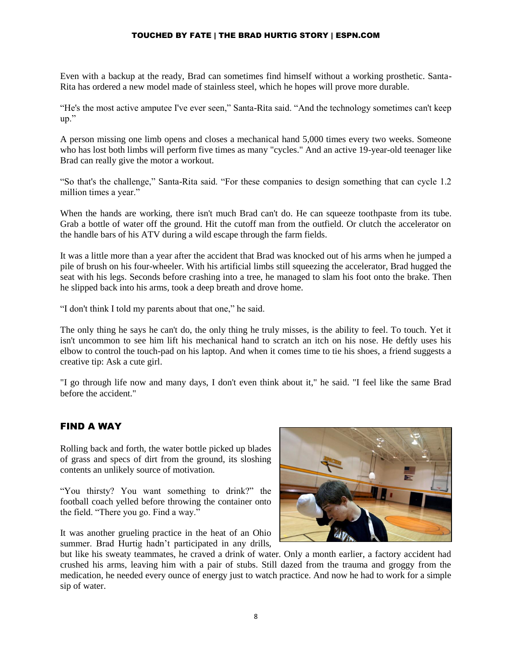Even with a backup at the ready, Brad can sometimes find himself without a working prosthetic. Santa-Rita has ordered a new model made of stainless steel, which he hopes will prove more durable.

"He's the most active amputee I've ever seen," Santa-Rita said. "And the technology sometimes can't keep up."

A person missing one limb opens and closes a mechanical hand 5,000 times every two weeks. Someone who has lost both limbs will perform five times as many "cycles." And an active 19-year-old teenager like Brad can really give the motor a workout.

"So that's the challenge," Santa-Rita said. "For these companies to design something that can cycle 1.2 million times a year."

When the hands are working, there isn't much Brad can't do. He can squeeze toothpaste from its tube. Grab a bottle of water off the ground. Hit the cutoff man from the outfield. Or clutch the accelerator on the handle bars of his ATV during a wild escape through the farm fields.

It was a little more than a year after the accident that Brad was knocked out of his arms when he jumped a pile of brush on his four-wheeler. With his artificial limbs still squeezing the accelerator, Brad hugged the seat with his legs. Seconds before crashing into a tree, he managed to slam his foot onto the brake. Then he slipped back into his arms, took a deep breath and drove home.

"I don't think I told my parents about that one," he said.

The only thing he says he can't do, the only thing he truly misses, is the ability to feel. To touch. Yet it isn't uncommon to see him lift his mechanical hand to scratch an itch on his nose. He deftly uses his elbow to control the touch-pad on his laptop. And when it comes time to tie his shoes, a friend suggests a creative tip: Ask a cute girl.

"I go through life now and many days, I don't even think about it," he said. "I feel like the same Brad before the accident."

## FIND A WAY

Rolling back and forth, the water bottle picked up blades of grass and specs of dirt from the ground, its sloshing contents an unlikely source of motivation.

"You thirsty? You want something to drink?" the football coach yelled before throwing the container onto the field. "There you go. Find a way."

It was another grueling practice in the heat of an Ohio summer. Brad Hurtig hadn't participated in any drills,



but like his sweaty teammates, he craved a drink of water. Only a month earlier, a factory accident had crushed his arms, leaving him with a pair of stubs. Still dazed from the trauma and groggy from the medication, he needed every ounce of energy just to watch practice. And now he had to work for a simple sip of water.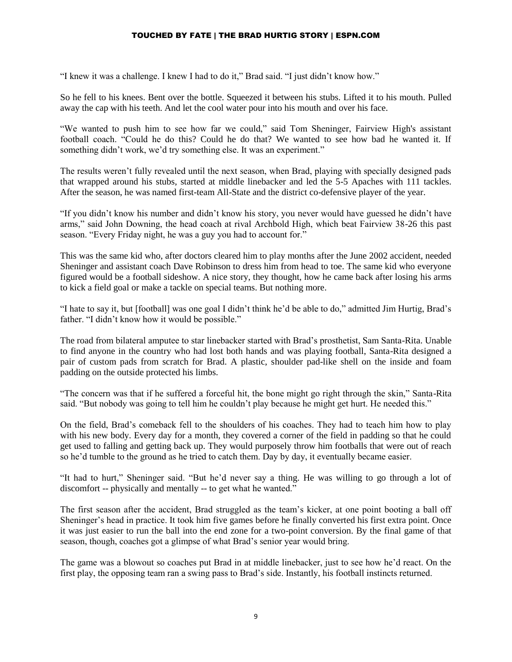"I knew it was a challenge. I knew I had to do it," Brad said. "I just didn't know how."

So he fell to his knees. Bent over the bottle. Squeezed it between his stubs. Lifted it to his mouth. Pulled away the cap with his teeth. And let the cool water pour into his mouth and over his face.

"We wanted to push him to see how far we could," said Tom Sheninger, Fairview High's assistant football coach. "Could he do this? Could he do that? We wanted to see how bad he wanted it. If something didn't work, we'd try something else. It was an experiment."

The results weren't fully revealed until the next season, when Brad, playing with specially designed pads that wrapped around his stubs, started at middle linebacker and led the 5-5 Apaches with 111 tackles. After the season, he was named first-team All-State and the district co-defensive player of the year.

"If you didn't know his number and didn't know his story, you never would have guessed he didn't have arms," said John Downing, the head coach at rival Archbold High, which beat Fairview 38-26 this past season. "Every Friday night, he was a guy you had to account for."

This was the same kid who, after doctors cleared him to play months after the June 2002 accident, needed Sheninger and assistant coach Dave Robinson to dress him from head to toe. The same kid who everyone figured would be a football sideshow. A nice story, they thought, how he came back after losing his arms to kick a field goal or make a tackle on special teams. But nothing more.

"I hate to say it, but [football] was one goal I didn't think he'd be able to do," admitted Jim Hurtig, Brad's father. "I didn't know how it would be possible."

The road from bilateral amputee to star linebacker started with Brad's prosthetist, Sam Santa-Rita. Unable to find anyone in the country who had lost both hands and was playing football, Santa-Rita designed a pair of custom pads from scratch for Brad. A plastic, shoulder pad-like shell on the inside and foam padding on the outside protected his limbs.

"The concern was that if he suffered a forceful hit, the bone might go right through the skin," Santa-Rita said. "But nobody was going to tell him he couldn't play because he might get hurt. He needed this."

On the field, Brad's comeback fell to the shoulders of his coaches. They had to teach him how to play with his new body. Every day for a month, they covered a corner of the field in padding so that he could get used to falling and getting back up. They would purposely throw him footballs that were out of reach so he'd tumble to the ground as he tried to catch them. Day by day, it eventually became easier.

"It had to hurt," Sheninger said. "But he'd never say a thing. He was willing to go through a lot of discomfort -- physically and mentally -- to get what he wanted."

The first season after the accident, Brad struggled as the team's kicker, at one point booting a ball off Sheninger's head in practice. It took him five games before he finally converted his first extra point. Once it was just easier to run the ball into the end zone for a two-point conversion. By the final game of that season, though, coaches got a glimpse of what Brad's senior year would bring.

The game was a blowout so coaches put Brad in at middle linebacker, just to see how he'd react. On the first play, the opposing team ran a swing pass to Brad's side. Instantly, his football instincts returned.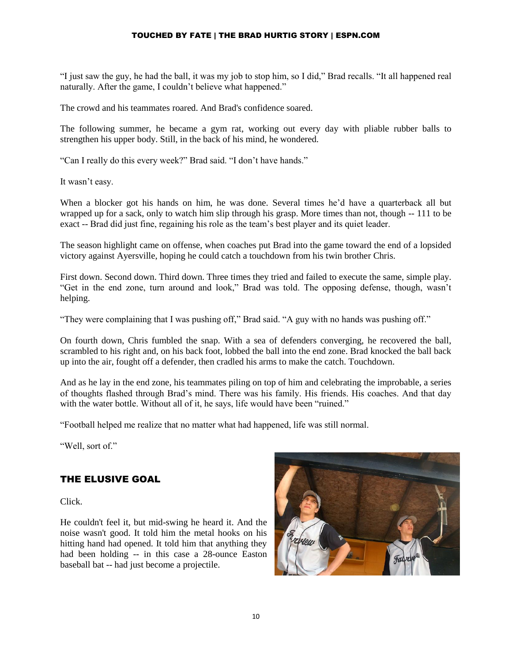"I just saw the guy, he had the ball, it was my job to stop him, so I did," Brad recalls. "It all happened real naturally. After the game, I couldn't believe what happened."

The crowd and his teammates roared. And Brad's confidence soared.

The following summer, he became a gym rat, working out every day with pliable rubber balls to strengthen his upper body. Still, in the back of his mind, he wondered.

"Can I really do this every week?" Brad said. "I don't have hands."

It wasn't easy.

When a blocker got his hands on him, he was done. Several times he'd have a quarterback all but wrapped up for a sack, only to watch him slip through his grasp. More times than not, though -- 111 to be exact -- Brad did just fine, regaining his role as the team's best player and its quiet leader.

The season highlight came on offense, when coaches put Brad into the game toward the end of a lopsided victory against Ayersville, hoping he could catch a touchdown from his twin brother Chris.

First down. Second down. Third down. Three times they tried and failed to execute the same, simple play. "Get in the end zone, turn around and look," Brad was told. The opposing defense, though, wasn't helping.

"They were complaining that I was pushing off," Brad said. "A guy with no hands was pushing off."

On fourth down, Chris fumbled the snap. With a sea of defenders converging, he recovered the ball, scrambled to his right and, on his back foot, lobbed the ball into the end zone. Brad knocked the ball back up into the air, fought off a defender, then cradled his arms to make the catch. Touchdown.

And as he lay in the end zone, his teammates piling on top of him and celebrating the improbable, a series of thoughts flashed through Brad's mind. There was his family. His friends. His coaches. And that day with the water bottle. Without all of it, he says, life would have been "ruined."

"Football helped me realize that no matter what had happened, life was still normal.

"Well, sort of."

## THE ELUSIVE GOAL

Click.

He couldn't feel it, but mid-swing he heard it. And the noise wasn't good. It told him the metal hooks on his hitting hand had opened. It told him that anything they had been holding -- in this case a 28-ounce Easton baseball bat -- had just become a projectile.

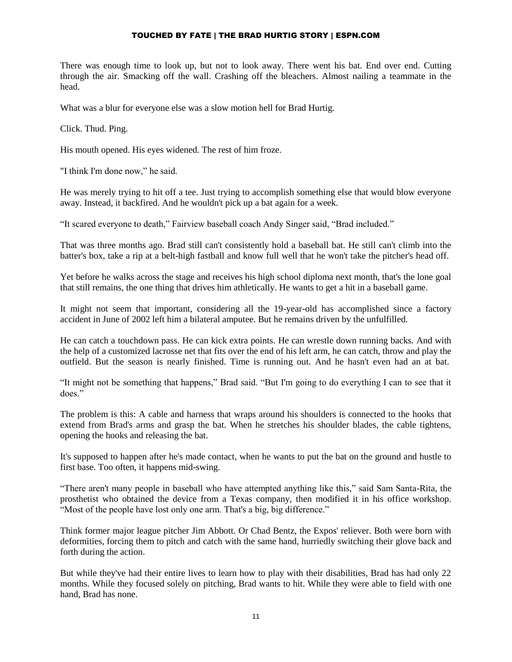There was enough time to look up, but not to look away. There went his bat. End over end. Cutting through the air. Smacking off the wall. Crashing off the bleachers. Almost nailing a teammate in the head.

What was a blur for everyone else was a slow motion hell for Brad Hurtig.

Click. Thud. Ping.

His mouth opened. His eyes widened. The rest of him froze.

"I think I'm done now," he said.

He was merely trying to hit off a tee. Just trying to accomplish something else that would blow everyone away. Instead, it backfired. And he wouldn't pick up a bat again for a week.

"It scared everyone to death," Fairview baseball coach Andy Singer said, "Brad included."

That was three months ago. Brad still can't consistently hold a baseball bat. He still can't climb into the batter's box, take a rip at a belt-high fastball and know full well that he won't take the pitcher's head off.

Yet before he walks across the stage and receives his high school diploma next month, that's the lone goal that still remains, the one thing that drives him athletically. He wants to get a hit in a baseball game.

It might not seem that important, considering all the 19-year-old has accomplished since a factory accident in June of 2002 left him a bilateral amputee. But he remains driven by the unfulfilled.

He can catch a touchdown pass. He can kick extra points. He can wrestle down running backs. And with the help of a customized lacrosse net that fits over the end of his left arm, he can catch, throw and play the outfield. But the season is nearly finished. Time is running out. And he hasn't even had an at bat.

"It might not be something that happens," Brad said. "But I'm going to do everything I can to see that it does."

The problem is this: A cable and harness that wraps around his shoulders is connected to the hooks that extend from Brad's arms and grasp the bat. When he stretches his shoulder blades, the cable tightens, opening the hooks and releasing the bat.

It's supposed to happen after he's made contact, when he wants to put the bat on the ground and hustle to first base. Too often, it happens mid-swing.

"There aren't many people in baseball who have attempted anything like this," said Sam Santa-Rita, the prosthetist who obtained the device from a Texas company, then modified it in his office workshop. "Most of the people have lost only one arm. That's a big, big difference."

Think former major league pitcher Jim Abbott. Or Chad Bentz, the Expos' reliever. Both were born with deformities, forcing them to pitch and catch with the same hand, hurriedly switching their glove back and forth during the action.

But while they've had their entire lives to learn how to play with their disabilities, Brad has had only 22 months. While they focused solely on pitching, Brad wants to hit. While they were able to field with one hand, Brad has none.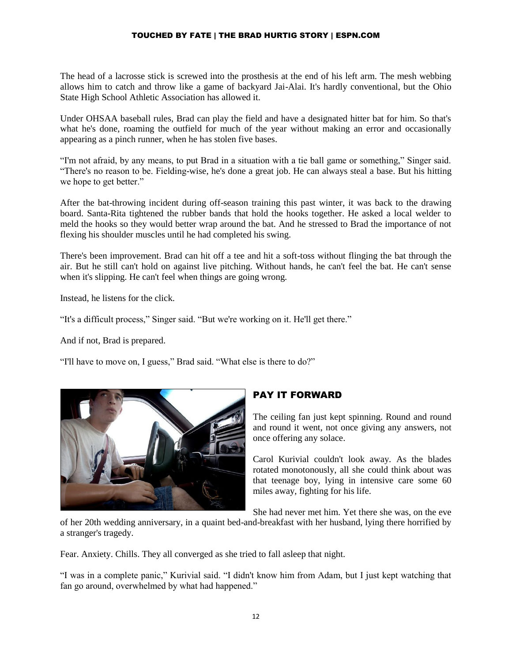The head of a lacrosse stick is screwed into the prosthesis at the end of his left arm. The mesh webbing allows him to catch and throw like a game of backyard Jai-Alai. It's hardly conventional, but the Ohio State High School Athletic Association has allowed it.

Under OHSAA baseball rules, Brad can play the field and have a designated hitter bat for him. So that's what he's done, roaming the outfield for much of the year without making an error and occasionally appearing as a pinch runner, when he has stolen five bases.

"I'm not afraid, by any means, to put Brad in a situation with a tie ball game or something," Singer said. "There's no reason to be. Fielding-wise, he's done a great job. He can always steal a base. But his hitting we hope to get better."

After the bat-throwing incident during off-season training this past winter, it was back to the drawing board. Santa-Rita tightened the rubber bands that hold the hooks together. He asked a local welder to meld the hooks so they would better wrap around the bat. And he stressed to Brad the importance of not flexing his shoulder muscles until he had completed his swing.

There's been improvement. Brad can hit off a tee and hit a soft-toss without flinging the bat through the air. But he still can't hold on against live pitching. Without hands, he can't feel the bat. He can't sense when it's slipping. He can't feel when things are going wrong.

Instead, he listens for the click.

"It's a difficult process," Singer said. "But we're working on it. He'll get there."

And if not, Brad is prepared.

"I'll have to move on, I guess," Brad said. "What else is there to do?"



## PAY IT FORWARD

The ceiling fan just kept spinning. Round and round and round it went, not once giving any answers, not once offering any solace.

Carol Kurivial couldn't look away. As the blades rotated monotonously, all she could think about was that teenage boy, lying in intensive care some 60 miles away, fighting for his life.

She had never met him. Yet there she was, on the eve

of her 20th wedding anniversary, in a quaint bed-and-breakfast with her husband, lying there horrified by a stranger's tragedy.

Fear. Anxiety. Chills. They all converged as she tried to fall asleep that night.

"I was in a complete panic," Kurivial said. "I didn't know him from Adam, but I just kept watching that fan go around, overwhelmed by what had happened."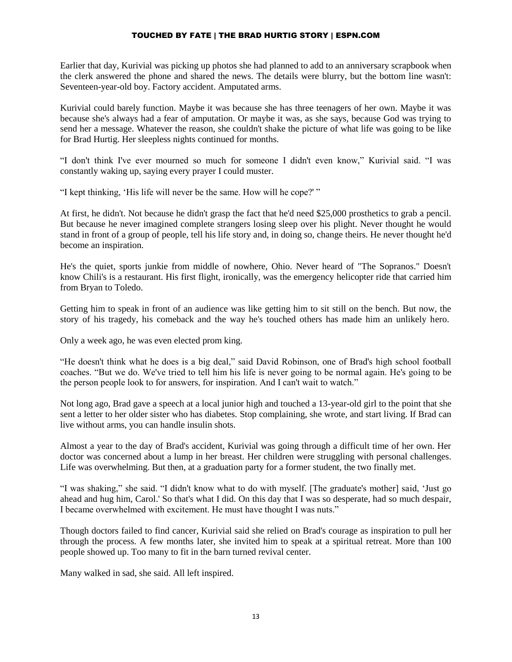Earlier that day, Kurivial was picking up photos she had planned to add to an anniversary scrapbook when the clerk answered the phone and shared the news. The details were blurry, but the bottom line wasn't: Seventeen-year-old boy. Factory accident. Amputated arms.

Kurivial could barely function. Maybe it was because she has three teenagers of her own. Maybe it was because she's always had a fear of amputation. Or maybe it was, as she says, because God was trying to send her a message. Whatever the reason, she couldn't shake the picture of what life was going to be like for Brad Hurtig. Her sleepless nights continued for months.

"I don't think I've ever mourned so much for someone I didn't even know," Kurivial said. "I was constantly waking up, saying every prayer I could muster.

"I kept thinking, 'His life will never be the same. How will he cope?' "

At first, he didn't. Not because he didn't grasp the fact that he'd need \$25,000 prosthetics to grab a pencil. But because he never imagined complete strangers losing sleep over his plight. Never thought he would stand in front of a group of people, tell his life story and, in doing so, change theirs. He never thought he'd become an inspiration.

He's the quiet, sports junkie from middle of nowhere, Ohio. Never heard of "The Sopranos." Doesn't know Chili's is a restaurant. His first flight, ironically, was the emergency helicopter ride that carried him from Bryan to Toledo.

Getting him to speak in front of an audience was like getting him to sit still on the bench. But now, the story of his tragedy, his comeback and the way he's touched others has made him an unlikely hero.

Only a week ago, he was even elected prom king.

"He doesn't think what he does is a big deal," said David Robinson, one of Brad's high school football coaches. "But we do. We've tried to tell him his life is never going to be normal again. He's going to be the person people look to for answers, for inspiration. And I can't wait to watch."

Not long ago, Brad gave a speech at a local junior high and touched a 13-year-old girl to the point that she sent a letter to her older sister who has diabetes. Stop complaining, she wrote, and start living. If Brad can live without arms, you can handle insulin shots.

Almost a year to the day of Brad's accident, Kurivial was going through a difficult time of her own. Her doctor was concerned about a lump in her breast. Her children were struggling with personal challenges. Life was overwhelming. But then, at a graduation party for a former student, the two finally met.

"I was shaking," she said. "I didn't know what to do with myself. [The graduate's mother] said, 'Just go ahead and hug him, Carol.' So that's what I did. On this day that I was so desperate, had so much despair, I became overwhelmed with excitement. He must have thought I was nuts."

Though doctors failed to find cancer, Kurivial said she relied on Brad's courage as inspiration to pull her through the process. A few months later, she invited him to speak at a spiritual retreat. More than 100 people showed up. Too many to fit in the barn turned revival center.

Many walked in sad, she said. All left inspired.